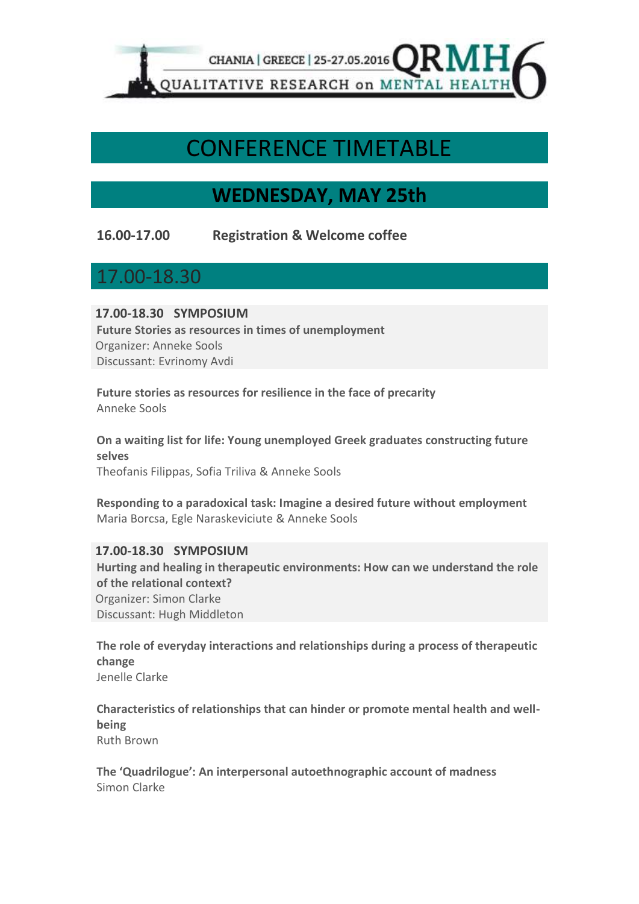

# CONFERENCE TIMETABLE

## **WEDNESDAY, MAY 25th**

**16.00-17.00 Registration & Welcome coffee**

17.00-18.30

**17.00-18.30 SYMPOSIUM** 

**Future Stories as resources in times of unemployment** Organizer: Anneke Sools Discussant: Evrinomy Avdi

**Future stories as resources for resilience in the face of precarity** Anneke Sools

**On a waiting list for life: Young unemployed Greek graduates constructing future selves** Theofanis Filippas, Sofia Triliva & Anneke Sools

**Responding to a paradoxical task: Imagine a desired future without employment** Maria Borcsa, Egle Naraskeviciute & Anneke Sools

**17.00-18.30 SYMPOSIUM Hurting and healing in therapeutic environments: How can we understand the role of the relational context?** Organizer: Simon Clarke Discussant: Hugh Middleton

**The role of everyday interactions and relationships during a process of therapeutic change** Jenelle Clarke

**Characteristics of relationships that can hinder or promote mental health and wellbeing** Ruth Brown

**The 'Quadrilogue': An interpersonal autoethnographic account of madness** Simon Clarke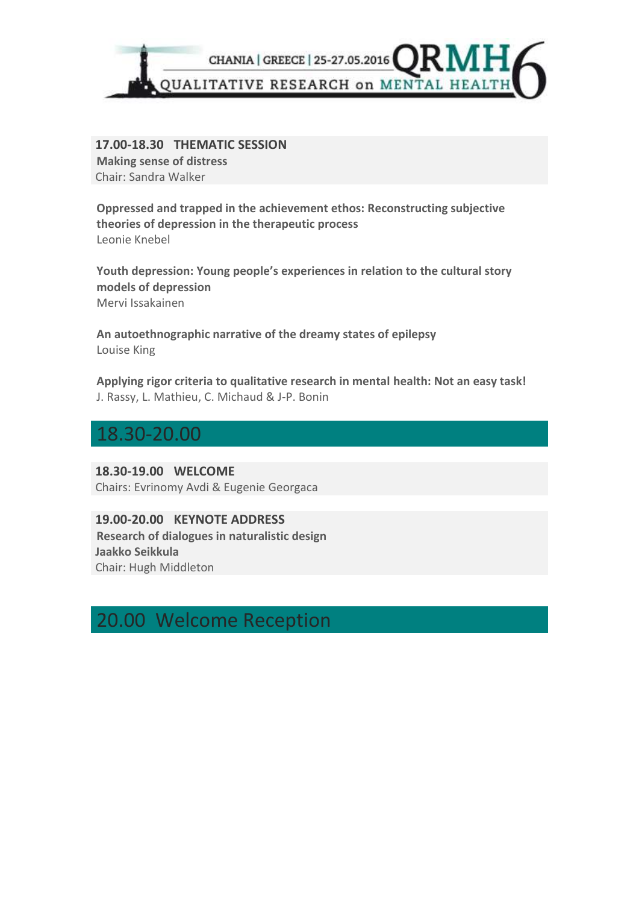

**17.00-18.30 THEMATIC SESSION Making sense of distress** Chair: Sandra Walker

**Oppressed and trapped in the achievement ethos: Reconstructing subjective theories of depression in the therapeutic process** Leonie Knebel

**Youth depression: Young people's experiences in relation to the cultural story models of depression** Mervi Issakainen

**An autoethnographic narrative of the dreamy states of epilepsy** Louise King

**Applying rigor criteria to qualitative research in mental health: Not an easy task!** J. Rassy, L. Mathieu, C. Michaud & J-P. Bonin

### 18.30-20.00

**18.30-19.00 WELCOME**  Chairs: Evrinomy Avdi & Eugenie Georgaca

**19.00-20.00 KEYNOTE ADDRESS Research of dialogues in naturalistic design Jaakko Seikkula** Chair: Hugh Middleton

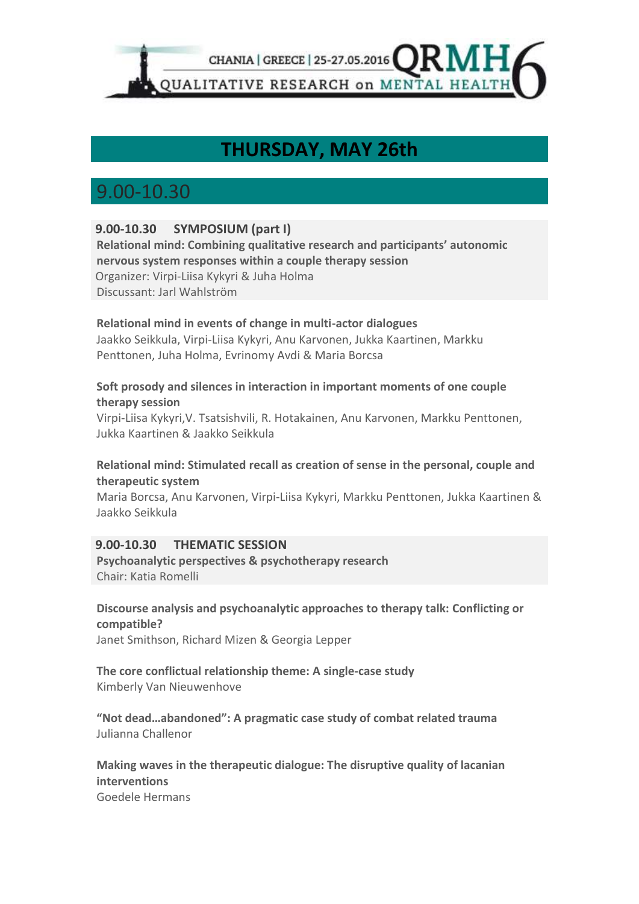

## **THURSDAY, MAY 26th**

## 9.00-10.30

### **9.00-10.30 SYMPOSIUM (part I)**

**Relational mind: Combining qualitative research and participants' autonomic nervous system responses within a couple therapy session** Organizer: Virpi-Liisa Kykyri & Juha Holma Discussant: Jarl Wahlström

### **Relational mind in events of change in multi-actor dialogues**

Jaakko Seikkula, Virpi-Liisa Kykyri, Anu Karvonen, Jukka Kaartinen, Markku Penttonen, Juha Holma, Evrinomy Avdi & Maria Borcsa

### **Soft prosody and silences in interaction in important moments of one couple therapy session**

Virpi-Liisa Kykyri,V. Tsatsishvili, R. Hotakainen, Anu Karvonen, Markku Penttonen, Jukka Kaartinen & Jaakko Seikkula

### **Relational mind: Stimulated recall as creation of sense in the personal, couple and therapeutic system**

Maria Borcsa, Anu Karvonen, Virpi-Liisa Kykyri, Markku Penttonen, Jukka Kaartinen & Jaakko Seikkula

### **9.00-10.30 THEMATIC SESSION**

**Psychoanalytic perspectives & psychotherapy research** Chair: Katia Romelli

#### **Discourse analysis and psychoanalytic approaches to therapy talk: Conflicting or compatible?**

Janet Smithson, Richard Mizen & Georgia Lepper

#### **The core conflictual relationship theme: A single-case study** Kimberly Van Nieuwenhove

**"Not dead…abandoned": A pragmatic case study of combat related trauma** Julianna Challenor

### **Making waves in the therapeutic dialogue: The disruptive quality of lacanian interventions**

Goedele Hermans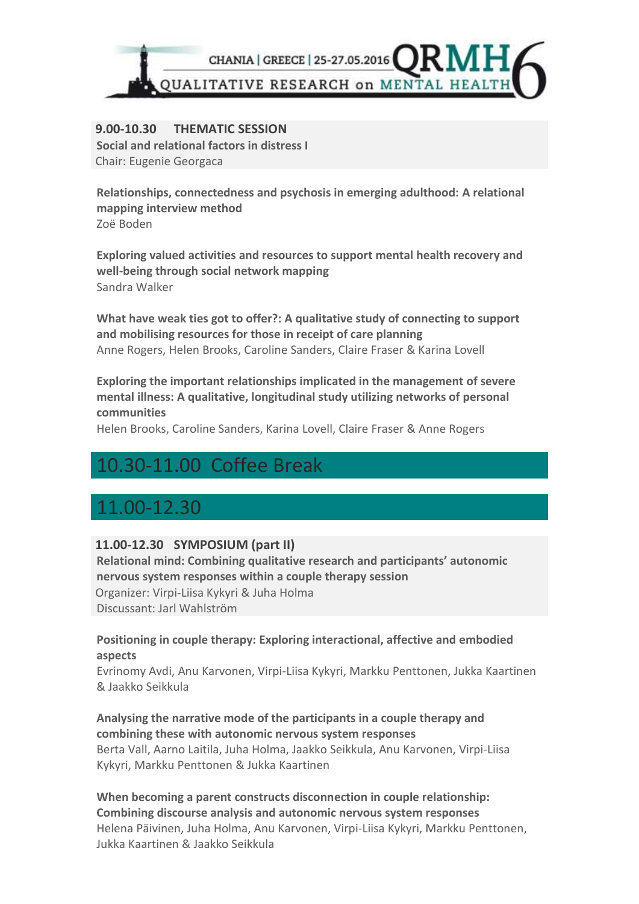

#### **9.00-10.30 THEMATIC SESSION Social and relational factors in distress I**

Chair: Eugenie Georgaca

**Relationships, connectedness and psychosis in emerging adulthood: A relational mapping interview method** Zoë Boden

**Exploring valued activities and resources to support mental health recovery and well-being through social network mapping** Sandra Walker

**What have weak ties got to offer?: A qualitative study of connecting to support and mobilising resources for those in receipt of care planning** Anne Rogers, Helen Brooks, Caroline Sanders, Claire Fraser & Karina Lovell

**Exploring the important relationships implicated in the management of severe mental illness: A qualitative, longitudinal study utilizing networks of personal communities**

Helen Brooks, Caroline Sanders, Karina Lovell, Claire Fraser & Anne Rogers

## 10.30-11.00 Coffee Break

### 11.00-12.30

### **11.00-12.30 SYMPOSIUM (part II)**

**Relational mind: Combining qualitative research and participants' autonomic nervous system responses within a couple therapy session** Organizer: Virpi-Liisa Kykyri & Juha Holma Discussant: Jarl Wahlström

### **Positioning in couple therapy: Exploring interactional, affective and embodied aspects**

Evrinomy Avdi, Anu Karvonen, Virpi-Liisa Kykyri, Markku Penttonen, Jukka Kaartinen & Jaakko Seikkula

### **Analysing the narrative mode of the participants in a couple therapy and combining these with autonomic nervous system responses**

Berta Vall, Aarno Laitila, Juha Holma, Jaakko Seikkula, Anu Karvonen, Virpi-Liisa Kykyri, Markku Penttonen & Jukka Kaartinen

**When becoming a parent constructs disconnection in couple relationship: Combining discourse analysis and autonomic nervous system responses** Helena Päivinen, Juha Holma, Anu Karvonen, Virpi-Liisa Kykyri, Markku Penttonen, Jukka Kaartinen & Jaakko Seikkula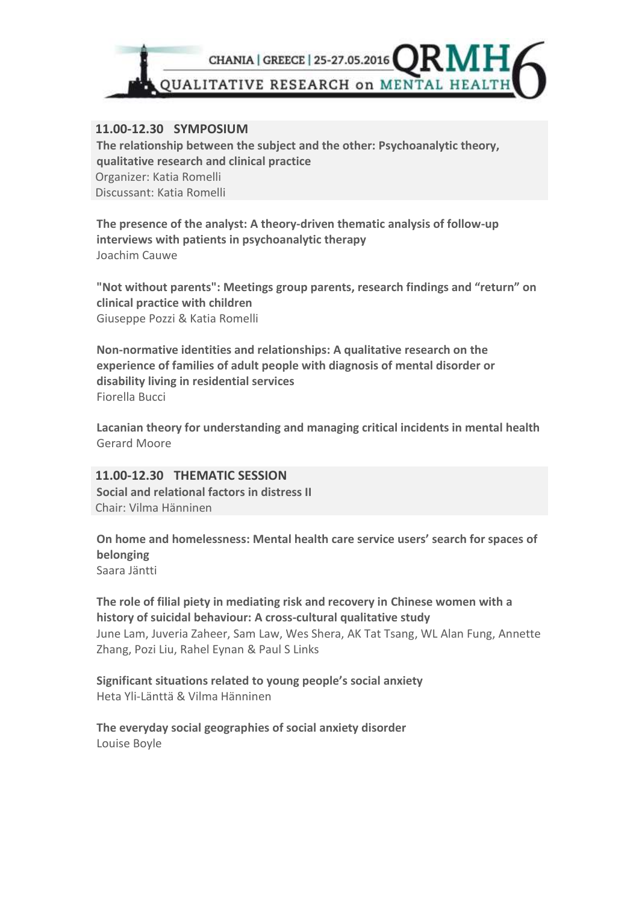

### **11.00-12.30 SYMPOSIUM**

**The relationship between the subject and the other: Psychoanalytic theory, qualitative research and clinical practice** Organizer: Katia Romelli Discussant: Katia Romelli

**The presence of the analyst: A theory-driven thematic analysis of follow-up interviews with patients in psychoanalytic therapy** Joachim Cauwe

**"Not without parents": Meetings group parents, research findings and "return" on clinical practice with children** Giuseppe Pozzi & Katia Romelli

**Non-normative identities and relationships: A qualitative research on the experience of families of adult people with diagnosis of mental disorder or disability living in residential services** Fiorella Bucci

**Lacanian theory for understanding and managing critical incidents in mental health** Gerard Moore

**11.00-12.30 THEMATIC SESSION Social and relational factors in distress II** Chair: Vilma Hänninen

**On home and homelessness: Mental health care service users' search for spaces of belonging** Saara Jäntti

**The role of filial piety in mediating risk and recovery in Chinese women with a history of suicidal behaviour: A crosscultural qualitative study** June Lam, Juveria Zaheer, Sam Law, Wes Shera, AK Tat Tsang, WL Alan Fung, Annette Zhang, Pozi Liu, Rahel Eynan & Paul S Links

**Significant situations related to young people's social anxiety** Heta Yli-Länttä & Vilma Hänninen

**The everyday social geographies of social anxiety disorder** Louise Boyle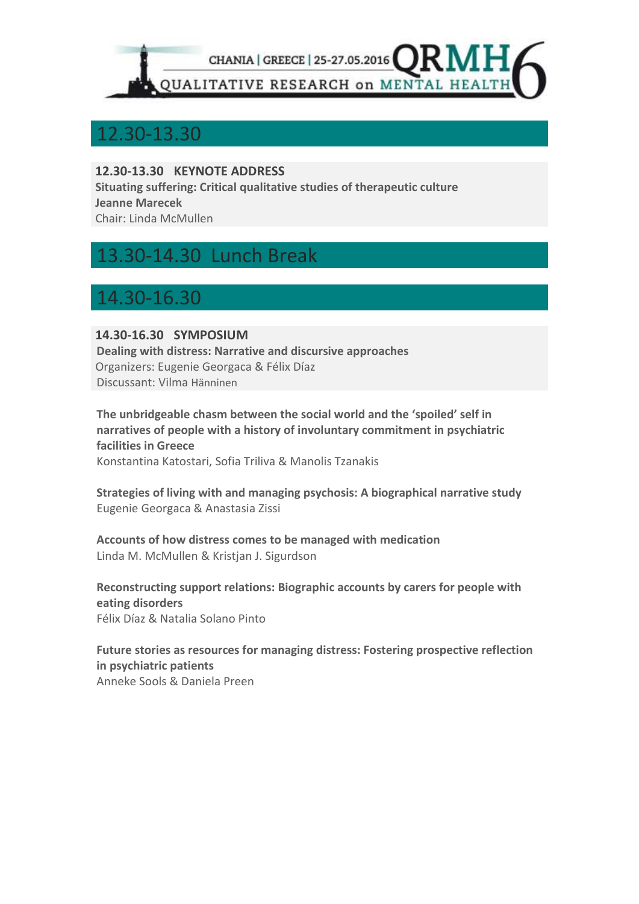

## 12.30-13.30

### **12.30-13.30 KEYNOTE ADDRESS**

**Situating suffering: Critical qualitative studies of therapeutic culture Jeanne Marecek**

Chair: Linda McMullen

## 13.30-14.30 Lunch Break

## 14.30-16.30

### **14.30-16.30 SYMPOSIUM**

**Dealing with distress: Narrative and discursive approaches** Organizers: Eugenie Georgaca & Félix Díaz Discussant: Vilma Hänninen

**The unbridgeable chasm between the social world and the 'spoiled' self in narratives of people with a history of involuntary commitment in psychiatric facilities in Greece** Konstantina Katostari, Sofia Triliva & Manolis Tzanakis

**Strategies of living with and managing psychosis: A biographical narrative study** Eugenie Georgaca & Anastasia Zissi

**Accounts of how distress comes to be managed with medication** Linda M. McMullen & Kristjan J. Sigurdson

**Reconstructing support relations: Biographic accounts by carers for people with eating disorders** Félix Díaz & Natalia Solano Pinto

**Future stories as resources for managing distress: Fostering prospective reflection in psychiatric patients** Anneke Sools & Daniela Preen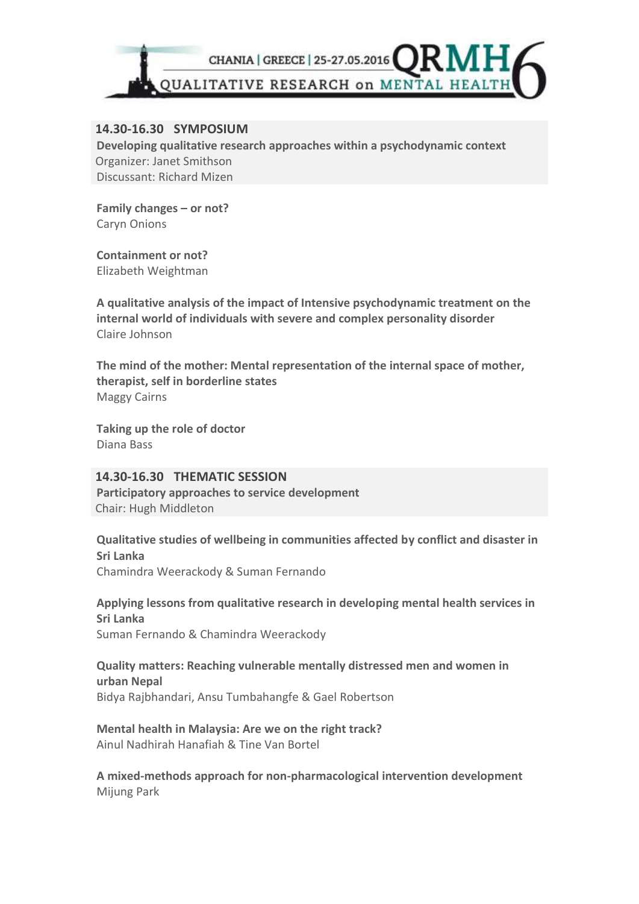

### **14.30-16.30 SYMPOSIUM**

**Developing qualitative research approaches within a psychodynamic context** Organizer: Janet Smithson Discussant: Richard Mizen

**Family changes – or not?** Caryn Onions

**Containment or not?** Elizabeth Weightman

**A qualitative analysis of the impact of Intensive psychodynamic treatment on the internal world of individuals with severe and complex personality disorder** Claire Johnson

**The mind of the mother: Mental representation of the internal space of mother, therapist, self in borderline states** Maggy Cairns

**Taking up the role of doctor** Diana Bass

**14.30-16.30 THEMATIC SESSION Participatory approaches to service development**  Chair: Hugh Middleton

**Qualitative studies of wellbeing in communities affected by conflict and disaster in Sri Lanka** Chamindra Weerackody & Suman Fernando

**Applying lessons from qualitative research in developing mental health services in Sri Lanka** Suman Fernando & Chamindra Weerackody

**Quality matters: Reaching vulnerable mentally distressed men and women in urban Nepal** Bidya Rajbhandari, Ansu Tumbahangfe & Gael Robertson

**Mental health in Malaysia: Are we on the right track?** Ainul Nadhirah Hanafiah & Tine Van Bortel

**A mixed-methods approach for non-pharmacological intervention development** Mijung Park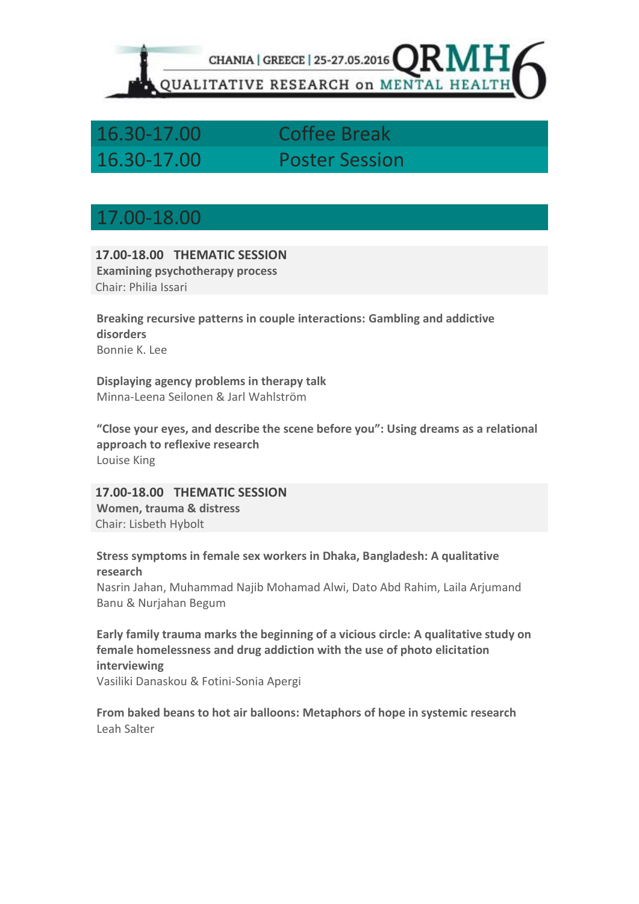

## 16.30-17.00 Coffee Break 16.30-17.00 Poster Session

### 17.00-18.00

**17.00-18.00 THEMATIC SESSION Examining psychotherapy process** Chair: Philia Issari

**Breaking recursive patterns in couple interactions: Gambling and addictive disorders** Bonnie K. Lee

**Displaying agency problems in therapy talk** Minna-Leena Seilonen & Jarl Wahlström

**"Close your eyes, and describe the scene before you": Using dreams as a relational approach to reflexive research** Louise King

**17.00-18.00 THEMATIC SESSION Women, trauma & distress** Chair: Lisbeth Hybolt

### **Stress symptoms in female sex workers in Dhaka, Bangladesh: A qualitative research**

Nasrin Jahan, Muhammad Najib Mohamad Alwi, Dato Abd Rahim, Laila Arjumand Banu & Nurjahan Begum

**Early family trauma marks the beginning of a vicious circle: A qualitative study on female homelessness and drug addiction with the use of photo elicitation interviewing**

Vasiliki Danaskou & Fotini-Sonia Apergi

**From baked beans to hot air balloons: Metaphors of hope in systemic research**  Leah Salter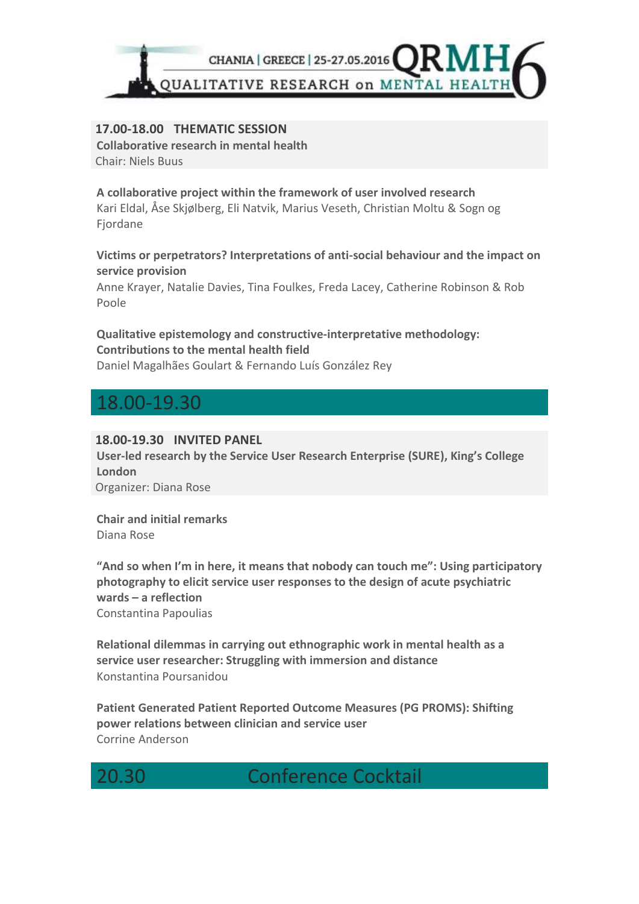

### **17.00-18.00 THEMATIC SESSION**

**Collaborative research in mental health** Chair: Niels Buus

**A collaborative project within the framework of user involved research** Kari Eldal, Åse Skjølberg, Eli Natvik, Marius Veseth, Christian Moltu & Sogn og Fjordane

### **Victims or perpetrators? Interpretations of anti-social behaviour and the impact on service provision**

Anne Krayer, Natalie Davies, Tina Foulkes, Freda Lacey, Catherine Robinson & Rob Poole

### **Qualitative epistemology and constructive-interpretative methodology: Contributions to the mental health field**

Daniel Magalhães Goulart & Fernando Luís González Rey

## 18.00-19.30

### **18.00-19.30 INVITED PANEL**

**User-led research by the Service User Research Enterprise (SURE), King's College London** Organizer: Diana Rose

**Chair and initial remarks** Diana Rose

**"And so when I'm in here, it means that nobody can touch me": Using participatory photography to elicit service user responses to the design of acute psychiatric wards – a reflection** Constantina Papoulias

**Relational dilemmas in carrying out ethnographic work in mental health as a service user researcher: Struggling with immersion and distance**  Konstantina Poursanidou

**Patient Generated Patient Reported Outcome Measures (PG PROMS): Shifting power relations between clinician and service user** Corrine Anderson

**Conference Cocktail**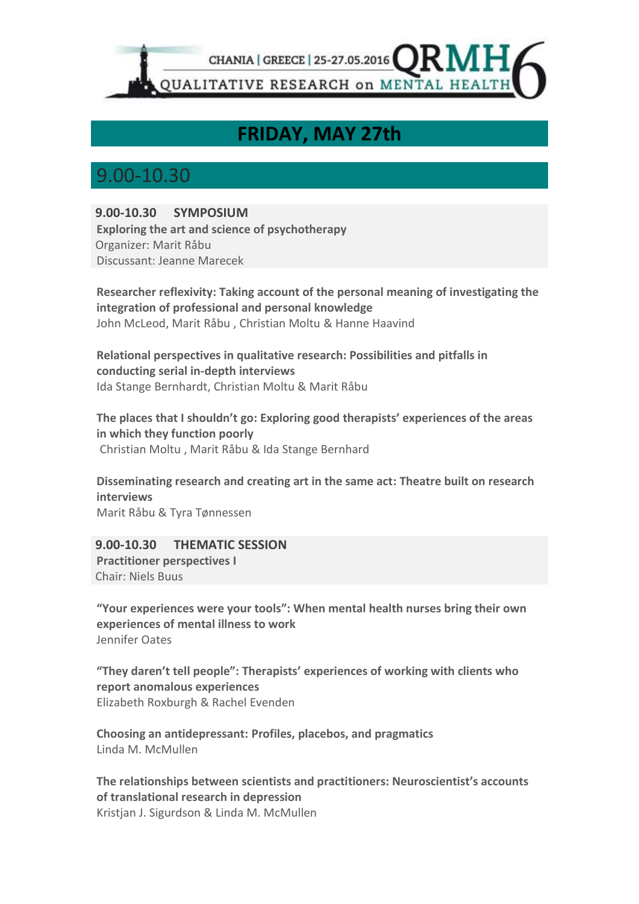

## **FRIDAY, MAY 27th**

## 9.00-10.30

### **9.00-10.30 SYMPOSIUM**

**Exploring the art and science of psychotherapy** Organizer: Marit Råbu Discussant: Jeanne Marecek

**Researcher reflexivity: Taking account of the personal meaning of investigating the integration of professional and personal knowledge** John McLeod, Marit Råbu , Christian Moltu & Hanne Haavind

**Relational perspectives in qualitative research: Possibilities and pitfalls in conducting serial in-depth interviews**  Ida Stange Bernhardt, Christian Moltu & Marit Råbu

**The places that I shouldn't go: Exploring good therapists' experiences of the areas in which they function poorly**  Christian Moltu , Marit Råbu & Ida Stange Bernhard

**Disseminating research and creating art in the same act: Theatre built on research interviews** Marit Råbu & Tyra Tønnessen

**9.00-10.30 THEMATIC SESSION Practitioner perspectives I** Chair: Niels Buus

**"Your experiences were your tools": When mental health nurses bring their own experiences of mental illness to work** Jennifer Oates

**"They daren't tell people": Therapists' experiences of working with clients who report anomalous experiences**  Elizabeth Roxburgh & Rachel Evenden

**Choosing an antidepressant: Profiles, placebos, and pragmatics** Linda M. McMullen

**The relationships between scientists and practitioners: Neuroscientist's accounts of translational research in depression**  Kristjan J. Sigurdson & Linda M. McMullen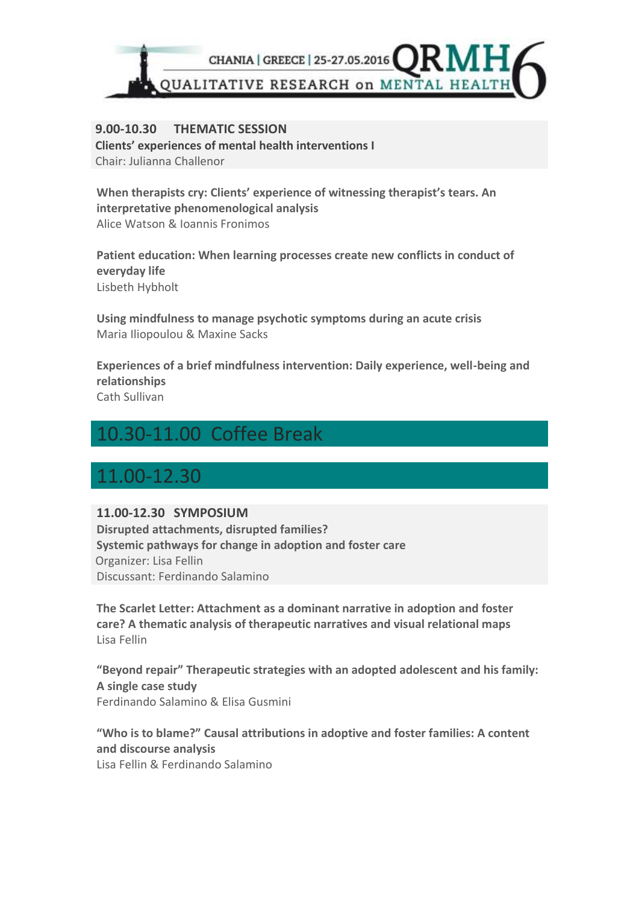

### **9.00-10.30 THEMATIC SESSION Clients' experiences of mental health interventions I**  Chair: Julianna Challenor

When therapists cry: Clients' experience of witnessing therapist's tears. An **interpretative phenomenological analysis**  Alice Watson & Ioannis Fronimos

**Patient education: When learning processes create new conflicts in conduct of everyday life**  Lisbeth Hybholt

**Using mindfulness to manage psychotic symptoms during an acute crisis**  Maria Iliopoulou & Maxine Sacks

**Experiences of a brief mindfulness intervention: Daily experience, well-being and relationships**  Cath Sullivan

## 10.30-11.00 Coffee Break

## 11.00-12.30

### **11.00-12.30 SYMPOSIUM**

**Disrupted attachments, disrupted families? Systemic pathways for change in adoption and foster care** Organizer: Lisa Fellin Discussant: Ferdinando Salamino

**The Scarlet Letter: Attachment as a dominant narrative in adoption and foster care? A thematic analysis of therapeutic narratives and visual relational maps** Lisa Fellin

**"Beyond repair" Therapeutic strategies with an adopted adolescent and his family: A single case study** Ferdinando Salamino & Elisa Gusmini

**"Who is to blame?" Causal attributions in adoptive and foster families: A content and discourse analysis** Lisa Fellin & Ferdinando Salamino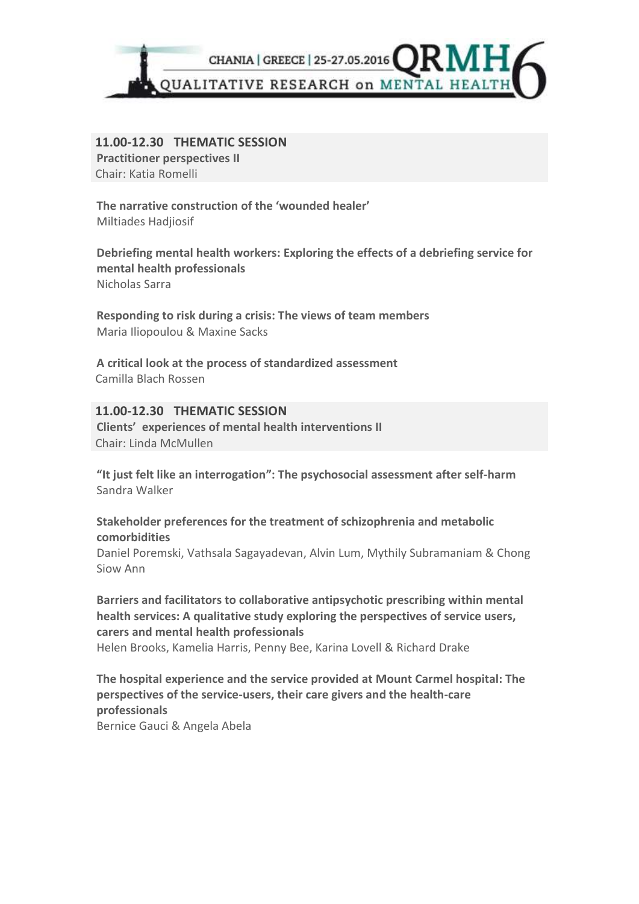

**11.00-12.30 THEMATIC SESSION Practitioner perspectives II** Chair: Katia Romelli

**The narrative construction of the 'wounded healer'** Miltiades Hadjiosif

**Debriefing mental health workers: Exploring the effects of a debriefing service for mental health professionals**  Nicholas Sarra

**Responding to risk during a crisis: The views of team members**  Maria Iliopoulou & Maxine Sacks

**A critical look at the process of standardized assessment**  Camilla Blach Rossen

### **11.00-12.30 THEMATIC SESSION**

**Clients' experiences of mental health interventions II** Chair: Linda McMullen

**"It just felt like an interrogation": The psychosocial assessment after self-harm** Sandra Walker

**Stakeholder preferences for the treatment of schizophrenia and metabolic comorbidities** 

Daniel Poremski, Vathsala Sagayadevan, Alvin Lum, Mythily Subramaniam & Chong Siow Ann

**Barriers and facilitators to collaborative antipsychotic prescribing within mental health services: A qualitative study exploring the perspectives of service users, carers and mental health professionals**

Helen Brooks, Kamelia Harris, Penny Bee, Karina Lovell & Richard Drake

**The hospital experience and the service provided at Mount Carmel hospital: The perspectives of the service-users, their care givers and the health-care professionals** Bernice Gauci & Angela Abela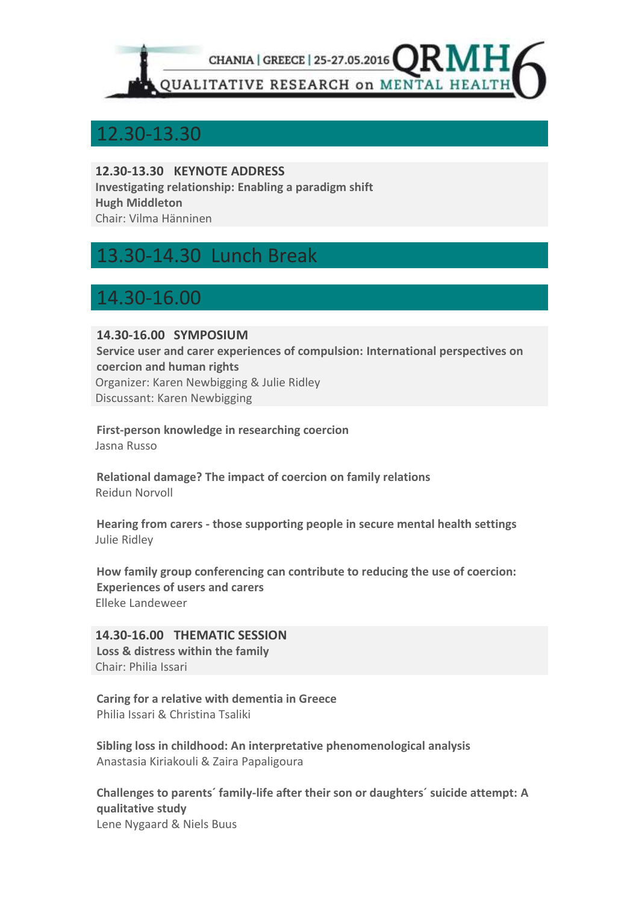

### 12.30-13.30

**12.30-13.30 KEYNOTE ADDRESS Investigating relationship: Enabling a paradigm shift Hugh Middleton** Chair: Vilma Hänninen

## 13.30-14.30 Lunch Break

## 14.30-16.00

### **14.30-16.00 SYMPOSIUM**

**Service user and carer experiences of compulsion: International perspectives on coercion and human rights** Organizer: Karen Newbigging & Julie Ridley Discussant: Karen Newbigging

**First-person knowledge in researching coercion** Jasna Russo

**Relational damage? The impact of coercion on family relations** Reidun Norvoll

**Hearing from carers - those supporting people in secure mental health settings** Julie Ridley

**How family group conferencing can contribute to reducing the use of coercion: Experiences of users and carers** Elleke Landeweer

**14.30-16.00 THEMATIC SESSION Loss & distress within the family**  Chair: Philia Issari

**Caring for a relative with dementia in Greece**  Philia Issari & Christina Tsaliki

**Sibling loss in childhood: An interpretative phenomenological analysis** Anastasia Kiriakouli & Zaira Papaligoura

**Challenges to parents´ family-life after their son or daughters´ suicide attempt: A qualitative study** Lene Nygaard & Niels Buus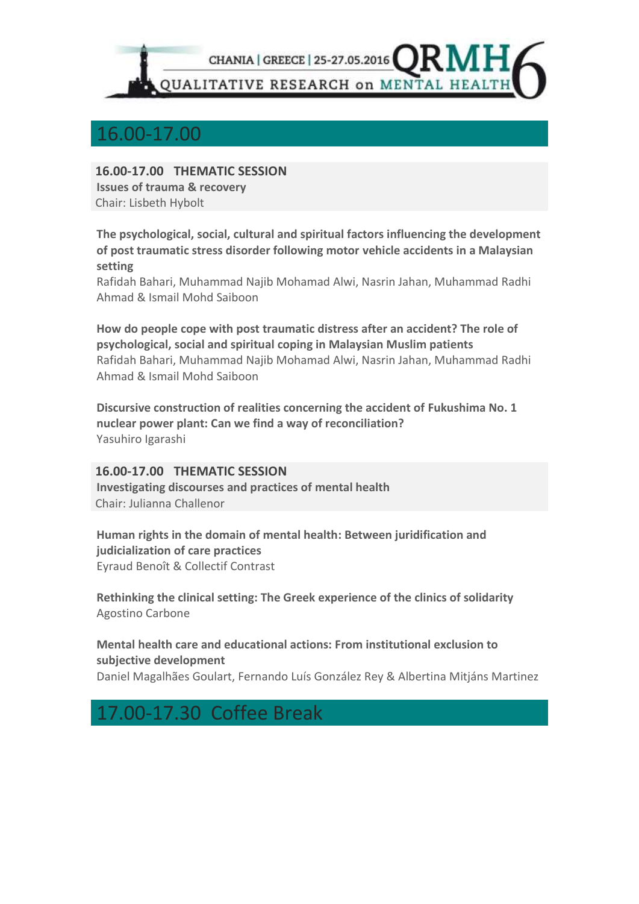

### 16.00-17.00

**16.00-17.00 THEMATIC SESSION Issues of trauma & recovery** 

Chair: Lisbeth Hybolt

**The psychological, social, cultural and spiritual factors influencing the development of post traumatic stress disorder following motor vehicle accidents in a Malaysian setting**

Rafidah Bahari, Muhammad Najib Mohamad Alwi, Nasrin Jahan, Muhammad Radhi Ahmad & Ismail Mohd Saiboon

**How do people cope with post traumatic distress after an accident? The role of psychological, social and spiritual coping in Malaysian Muslim patients** Rafidah Bahari, Muhammad Najib Mohamad Alwi, Nasrin Jahan, Muhammad Radhi Ahmad & Ismail Mohd Saiboon

**Discursive construction of realities concerning the accident of Fukushima No. 1 nuclear power plant: Can we find a way of reconciliation?** Yasuhiro Igarashi

### **16.00-17.00 THEMATIC SESSION**

**Investigating discourses and practices of mental health** Chair: Julianna Challenor

**Human rights in the domain of mental health: Between juridification and judicialization of care practices** Eyraud Benoît & Collectif Contrast

**Rethinking the clinical setting: The Greek experience of the clinics of solidarity** Agostino Carbone

**Mental health care and educational actions: From institutional exclusion to subjective development** Daniel Magalhães Goulart, Fernando Luís González Rey & Albertina Mitjáns Martinez

## 17.00-17.30 Coffee Break